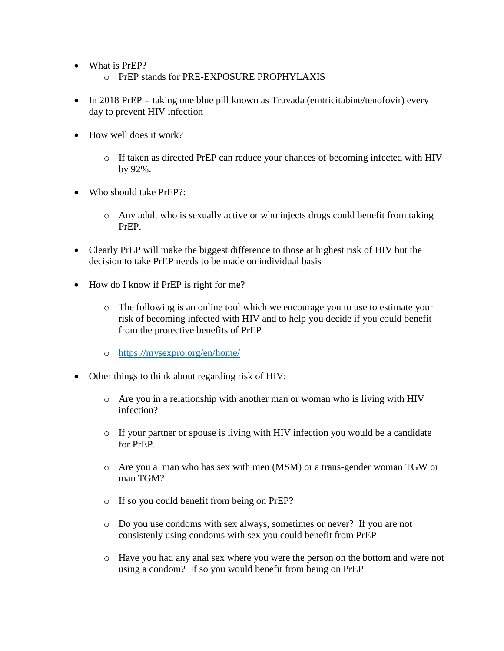- What is PrEP?
	- o PrEP stands for PRE-EXPOSURE PROPHYLAXIS
- $\bullet$  In 2018 PrEP = taking one blue pill known as Truvada (emtricitabine/tenofovir) every day to prevent HIV infection
- $\bullet$  How well does it work?
	- o If taken as directed PrEP can reduce your chances of becoming infected with HIV by 92%.
- $\bullet$  Who should take PrEP?:
	- o Any adult who is sexually active or who injects drugs could benefit from taking PrEP.
- Clearly PrEP will make the biggest difference to those at highest risk of HIV but the decision to take PrEP needs to be made on individual basis
- How do I know if PrEP is right for me?
	- o The following is an online tool which we encourage you to use to estimate your risk of becoming infected with HIV and to help you decide if you could benefit from the protective benefits of PrEP
	- o <https://mysexpro.org/en/home/>
- Other things to think about regarding risk of HIV:
	- o Are you in a relationship with another man or woman who is living with HIV infection?
	- o If your partner or spouse is living with HIV infection you would be a candidate for PrEP.
	- o Are you a man who has sex with men (MSM) or a trans-gender woman TGW or man TGM?
	- o If so you could benefit from being on PrEP?
	- o Do you use condoms with sex always, sometimes or never? If you are not consistenly using condoms with sex you could benefit from PrEP
	- o Have you had any anal sex where you were the person on the bottom and were not using a condom? If so you would benefit from being on PrEP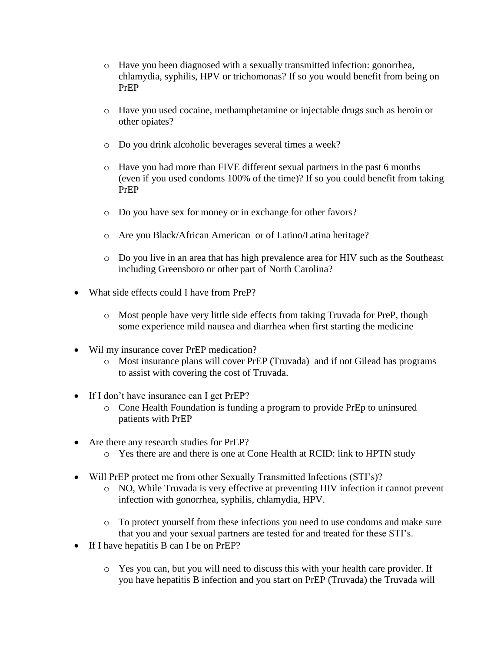- o Have you been diagnosed with a sexually transmitted infection: gonorrhea, chlamydia, syphilis, HPV or trichomonas? If so you would benefit from being on PrEP
- o Have you used cocaine, methamphetamine or injectable drugs such as heroin or other opiates?
- o Do you drink alcoholic beverages several times a week?
- o Have you had more than FIVE different sexual partners in the past 6 months (even if you used condoms 100% of the time)? If so you could benefit from taking PrEP
- o Do you have sex for money or in exchange for other favors?
- o Are you Black/African American or of Latino/Latina heritage?
- o Do you live in an area that has high prevalence area for HIV such as the Southeast including Greensboro or other part of North Carolina?
- What side effects could I have from PreP?
	- o Most people have very little side effects from taking Truvada for PreP, though some experience mild nausea and diarrhea when first starting the medicine
- Wil my insurance cover PrEP medication?
	- o Most insurance plans will cover PrEP (Truvada) and if not Gilead has programs to assist with covering the cost of Truvada.
- If I don't have insurance can I get PrEP?
	- o Cone Health Foundation is funding a program to provide PrEp to uninsured patients with PrEP
- Are there any research studies for PrEP?
	- o Yes there are and there is one at Cone Health at RCID: link to HPTN study
- Will PrEP protect me from other Sexually Transmitted Infections (STI's)?
	- o NO, While Truvada is very effective at preventing HIV infection it cannot prevent infection with gonorrhea, syphilis, chlamydia, HPV.
	- o To protect yourself from these infections you need to use condoms and make sure that you and your sexual partners are tested for and treated for these STI's.
- If I have hepatitis B can I be on PrEP?
	- o Yes you can, but you will need to discuss this with your health care provider. If you have hepatitis B infection and you start on PrEP (Truvada) the Truvada will